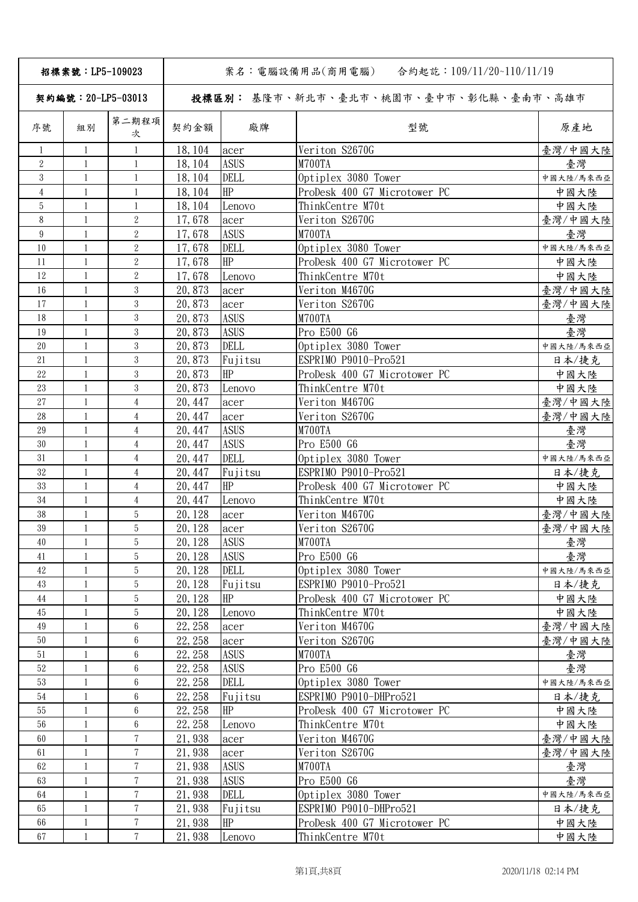| 招標案號: LP5-109023   |              |                 | 合約起訖:109/11/20~110/11/19<br>案名:電腦設備用品(商用電腦) |             |                                       |           |  |
|--------------------|--------------|-----------------|---------------------------------------------|-------------|---------------------------------------|-----------|--|
| 契約編號: 20-LP5-03013 |              |                 |                                             |             | 投標區別: 基隆市、新北市、臺北市、桃園市、臺中市、彰化縣、臺南市、高雄市 |           |  |
| 序號                 | 組別           | 第二期程項<br>次      | 契約金額                                        | 廠牌          | 型號                                    | 原產地       |  |
| 1                  | $\mathbf{1}$ | 1               | 18, 104                                     | acer        | Veriton S2670G                        | 臺灣/中國大陸   |  |
| $\overline{2}$     | -1           | $\mathbf{1}$    | 18, 104                                     | <b>ASUS</b> | M700TA                                | 臺灣        |  |
| 3                  | 1            | $\mathbf{1}$    | 18, 104                                     | <b>DELL</b> | Optiplex 3080 Tower                   | 中國大陸/馬來西亞 |  |
| $\overline{4}$     | $\mathbf{1}$ | $\mathbf{1}$    | 18, 104                                     | HP          | ProDesk 400 G7 Microtower PC          | 中國大陸      |  |
| 5                  | $\mathbf{1}$ | 1               | 18, 104                                     | Lenovo      | ThinkCentre M70t                      | 中國大陸      |  |
| 8                  | 1            | $\overline{2}$  | 17,678                                      | acer        | Veriton S2670G                        | 臺灣/中國大陸   |  |
| 9                  | 1            | $\overline{2}$  | 17,678                                      | <b>ASUS</b> | M700TA                                | 臺灣        |  |
| 10                 | 1            | $\overline{2}$  | 17,678                                      | DELL        | Optiplex 3080 Tower                   | 中國大陸/馬來西亞 |  |
| 11                 | 1            | $\overline{2}$  | 17,678                                      | HP          | ProDesk 400 G7 Microtower PC          | 中國大陸      |  |
| 12                 | $\mathbf{1}$ | $\overline{2}$  | 17,678                                      | Lenovo      | ThinkCentre M70t                      | 中國大陸      |  |
| 16                 | $\mathbf{1}$ | 3               | 20,873                                      | acer        | Veriton M4670G                        | 臺灣/中國大陸   |  |
| 17                 | $\mathbf{1}$ | 3               | 20,873                                      | acer        | Veriton S2670G                        | 臺灣/中國大陸   |  |
| 18                 | 1            | 3               | 20,873                                      | <b>ASUS</b> | M700TA                                | 臺灣        |  |
| 19                 | $\mathbf{1}$ | 3               | 20,873                                      | <b>ASUS</b> | Pro E500 G6                           | 臺灣        |  |
| 20                 | $\mathbf{1}$ | 3               | 20,873                                      | <b>DELL</b> | Optiplex 3080 Tower                   | 中國大陸/馬來西亞 |  |
| 21                 | $\mathbf{1}$ | 3               | 20,873                                      | Fujitsu     | ESPRIMO P9010-Pro521                  | 日本/捷克     |  |
| 22                 | $\mathbf{1}$ | 3               | 20,873                                      | HP          | ProDesk 400 G7 Microtower PC          | 中國大陸      |  |
| 23                 | 1            | 3               | 20,873                                      | Lenovo      | ThinkCentre M70t                      | 中國大陸      |  |
| $27\,$             | 1            | $\overline{4}$  | 20, 447                                     | acer        | Veriton M4670G                        | 臺灣/中國大陸   |  |
| 28                 | $\mathbf{1}$ | $\overline{4}$  | 20, 447                                     | acer        | Veriton S2670G                        | 臺灣/中國大陸   |  |
| 29                 | $\mathbf{1}$ | $\overline{4}$  | 20, 447                                     | <b>ASUS</b> | M700TA                                | 臺灣        |  |
| 30                 | $\mathbf{1}$ | $\overline{4}$  | 20, 447                                     | <b>ASUS</b> | Pro E500 G6                           | 臺灣        |  |
| 31                 | 1            | $\overline{4}$  | 20, 447                                     | <b>DELL</b> | Optiplex 3080 Tower                   | 中國大陸/馬來西亞 |  |
| 32                 | $\mathbf{1}$ | $\overline{4}$  | 20, 447                                     | Fujitsu     | ESPRIMO P9010-Pro521                  | 日本/捷克     |  |
| 33                 | $\mathbf{1}$ | $\overline{4}$  | 20, 447                                     | HP          | ProDesk 400 G7 Microtower PC          | 中國大陸      |  |
| 34                 | $\mathbf{1}$ | $\overline{4}$  | 20, 447                                     | Lenovo      | ThinkCentre M70t                      | 中國大陸      |  |
| 38                 | $\mathbf{1}$ | 5               | 20, 128                                     | acer        | Veriton M4670G                        | 臺灣/中國大陸   |  |
| $39\,$             | 1            | 5               | 20, 128                                     | acer        | Veriton S2670G                        | 臺灣/中國大陸   |  |
| 40                 | -1           | 5               | 20, 128                                     | <b>ASUS</b> | M700TA                                | 臺灣        |  |
| 41                 | $\mathbf{1}$ | 5               | 20, 128                                     | <b>ASUS</b> | Pro E500 G6                           | 臺灣        |  |
| $42\,$             | $\mathbf{1}$ | 5               | 20, 128                                     | <b>DELL</b> | Optiplex 3080 Tower                   | 中國大陸/馬來西亞 |  |
| 43                 | $\mathbf{1}$ | $\overline{5}$  | 20, 128                                     | Fujitsu     | ESPRIMO P9010-Pro521                  | 日本/捷克     |  |
| 44                 | $\mathbf{1}$ | 5               | 20, 128                                     | HP          | ProDesk 400 G7 Microtower PC          | 中國大陸      |  |
| 45                 | 1            | 5               | 20, 128                                     | Lenovo      | ThinkCentre M70t                      | 中國大陸      |  |
| 49                 | 1            | 6               | 22, 258                                     | acer        | Veriton M4670G                        | 臺灣/中國大陸   |  |
| $50\,$             | 1            | 6               | 22, 258                                     | acer        | Veriton S2670G                        | 臺灣/中國大陸   |  |
| $51\,$             | $\mathbf{1}$ | 6               | 22, 258                                     | <b>ASUS</b> | M700TA                                | 臺灣        |  |
| $52\,$             | $\mathbf{1}$ | 6               | 22, 258                                     | <b>ASUS</b> | Pro E500 G6                           | 臺灣        |  |
| 53                 | $\mathbf{1}$ | 6               | 22, 258                                     | DELL        | Optiplex 3080 Tower                   | 中國大陸/馬來西亞 |  |
| $54\,$             | $\mathbf{1}$ | 6               | 22, 258                                     | Fujitsu     | ESPRIMO P9010-DHPro521                | 日本/捷克     |  |
| 55                 | $\mathbf{1}$ | $6\phantom{.0}$ | 22, 258                                     | HP          | ProDesk 400 G7 Microtower PC          | 中國大陸      |  |
| 56                 | $\mathbf{1}$ | 6               | 22, 258                                     | Lenovo      | ThinkCentre M70t                      | 中國大陸      |  |
| 60                 | $\mathbf{1}$ | $7\phantom{.}$  | 21,938                                      | acer        | Veriton M4670G                        | 臺灣/中國大陸   |  |
| 61                 | $\mathbf{1}$ | $\overline{7}$  | 21,938                                      | acer        | Veriton S2670G                        | 臺灣/中國大陸   |  |
| 62                 | $\mathbf{1}$ | 7               | 21,938                                      | <b>ASUS</b> | M700TA                                | 臺灣        |  |
| 63                 | 1            | $\tau$          | 21,938                                      | <b>ASUS</b> | Pro E500 G6                           | 臺灣        |  |
| $64\,$             | 1            | $7\phantom{.}$  | 21,938                                      | <b>DELL</b> | Optiplex 3080 Tower                   | 中國大陸/馬來西亞 |  |
| 65                 | $\mathbf{1}$ | $7\phantom{.}$  | 21,938                                      | Fujitsu     | ESPRIMO P9010-DHPro521                | 日本/捷克     |  |
| 66                 | $\mathbf{1}$ | $7\phantom{.}$  | 21,938                                      | HP          | ProDesk 400 G7 Microtower PC          | 中國大陸      |  |
| 67                 | $\mathbf{1}$ | $7\phantom{.}$  | 21,938                                      | Lenovo      | ThinkCentre M70t                      | 中國大陸      |  |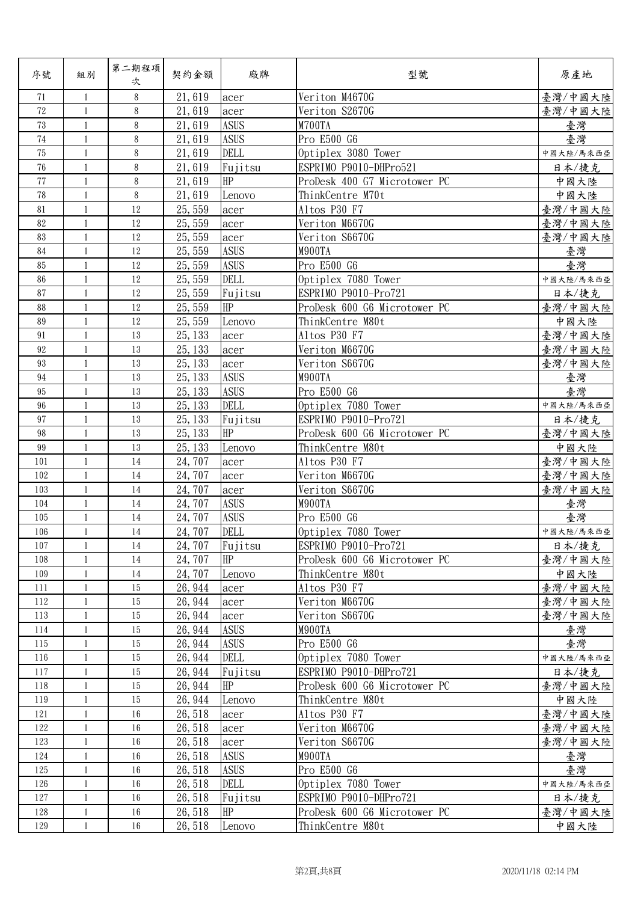| 序號     | 組別           | 第二期程項<br>次 | 契約金額    | 廠牌          | 型號                           | 原產地       |
|--------|--------------|------------|---------|-------------|------------------------------|-----------|
| 71     | 1            | 8          | 21,619  | acer        | Veriton M4670G               | 臺灣/中國大陸   |
| 72     | $\mathbf{1}$ | 8          | 21,619  | acer        | Veriton S2670G               | 臺灣/中國大陸   |
| 73     | $\mathbf{1}$ | 8          | 21,619  | <b>ASUS</b> | M700TA                       | 臺灣        |
| 74     | $\mathbf{1}$ | 8          | 21,619  | <b>ASUS</b> | Pro E500 G6                  | 臺灣        |
| 75     | $\mathbf{1}$ | 8          | 21,619  | <b>DELL</b> | Optiplex 3080 Tower          | 中國大陸/馬來西亞 |
| 76     | $\mathbf{1}$ | 8          | 21,619  | Fujitsu     | ESPRIMO P9010-DHPro521       | 日本/捷克     |
| 77     | $\mathbf{1}$ | 8          | 21,619  | HP          | ProDesk 400 G7 Microtower PC | 中國大陸      |
| 78     | $\mathbf{1}$ | 8          | 21,619  | Lenovo      | ThinkCentre M70t             | 中國大陸      |
| 81     | $\mathbf{1}$ | 12         | 25,559  | acer        | Altos P30 F7                 | 臺灣/中國大陸   |
| 82     | $\mathbf{1}$ | 12         | 25,559  | acer        | Veriton M6670G               | 臺灣/中國大陸   |
| 83     | $\mathbf{1}$ | 12         | 25, 559 | acer        | Veriton S6670G               | 臺灣/中國大陸   |
| 84     | $\mathbf{1}$ | 12         | 25, 559 | <b>ASUS</b> | M900TA                       | 臺灣        |
| 85     | $\mathbf{1}$ | 12         | 25, 559 | <b>ASUS</b> | Pro E500 G6                  | 臺灣        |
| 86     | $\mathbf{1}$ | 12         | 25,559  | DELL        | Optiplex 7080 Tower          | 中國大陸/馬來西亞 |
| 87     | $\mathbf{1}$ | 12         | 25,559  | Fujitsu     | ESPRIMO P9010-Pro721         | 日本/捷克     |
| 88     | $\mathbf{1}$ | 12         | 25,559  | HP          | ProDesk 600 G6 Microtower PC | 臺灣/中國大陸   |
| 89     | $\mathbf{1}$ | 12         | 25, 559 | Lenovo      | ThinkCentre M80t             | 中國大陸      |
| 91     | $\mathbf{1}$ | 13         | 25, 133 | acer        | Altos P30 F7                 | 臺灣/中國大陸   |
| 92     | $\mathbf{1}$ | 13         | 25, 133 | acer        | Veriton M6670G               | 臺灣/中國大陸   |
| 93     | $\mathbf{1}$ | 13         | 25, 133 | acer        | Veriton S6670G               | 臺灣/中國大陸   |
| 94     | $\mathbf{1}$ | 13         | 25, 133 | <b>ASUS</b> | M900TA                       | 臺灣        |
| 95     | $\mathbf{1}$ | 13         | 25, 133 | <b>ASUS</b> | Pro E500 G6                  | 臺灣        |
| 96     | $\mathbf{1}$ | 13         | 25, 133 | DELL        | Optiplex 7080 Tower          | 中國大陸/馬來西亞 |
| 97     | 1            | 13         | 25, 133 | Fujitsu     | ESPRIMO P9010-Pro721         | 日本/捷克     |
| 98     | $\mathbf{1}$ | 13         | 25, 133 | HP          | ProDesk 600 G6 Microtower PC | 臺灣/中國大陸   |
| $99\,$ | $\mathbf{1}$ | 13         | 25, 133 | Lenovo      | ThinkCentre M80t             | 中國大陸      |
| 101    | $\mathbf{1}$ | 14         | 24,707  | acer        | Altos P30 F7                 | 臺灣/中國大陸   |
| 102    | $\mathbf{1}$ | 14         | 24,707  | acer        | Veriton M6670G               | 臺灣/中國大陸   |
| 103    | $\mathbf{1}$ | 14         | 24,707  | acer        | Veriton S6670G               | 臺灣/中國大陸   |
| 104    | $\mathbf{1}$ | 14         | 24,707  | <b>ASUS</b> | M900TA                       | 臺灣        |
| 105    | $\mathbf{1}$ | 14         | 24,707  | <b>ASUS</b> | Pro E500 G6                  | 臺灣        |
| 106    | $\mathbf{1}$ | 14         | 24,707  | DELL        | Optiplex 7080 Tower          | 中國大陸/馬來西亞 |
| 107    | -1           | 14         | 24, 707 | Fujitsu     | ESPRIMO P9010-Pro721         | 日本/捷克     |
| 108    | 1            | 14         | 24,707  | HP          | ProDesk 600 G6 Microtower PC | 臺灣/中國大陸   |
| 109    | $\mathbf{1}$ | $14\,$     | 24,707  | Lenovo      | ThinkCentre M80t             | 中國大陸      |
| 111    | 1            | 15         | 26, 944 | acer        | Altos P30 F7                 | 臺灣/中國大陸   |
| 112    | $\mathbf{1}$ | 15         | 26, 944 | acer        | Veriton M6670G               | 臺灣/中國大陸   |
| 113    | $\mathbf{1}$ | 15         | 26, 944 | acer        | Veriton S6670G               | 臺灣/中國大陸   |
| 114    | -1           | 15         | 26, 944 | <b>ASUS</b> | M900TA                       | 臺灣        |
| 115    | 1            | 15         | 26, 944 | <b>ASUS</b> | Pro E500 G6                  | 臺灣        |
| 116    | $\mathbf{1}$ | 15         | 26, 944 | <b>DELL</b> | Optiplex 7080 Tower          | 中國大陸/馬來西亞 |
| 117    | $\mathbf{1}$ | 15         | 26, 944 | Fujitsu     | ESPRIMO P9010-DHPro721       | 日本/捷克     |
| 118    | 1            | 15         | 26, 944 | HP          | ProDesk 600 G6 Microtower PC | 臺灣/中國大陸   |
| 119    | 1            | 15         | 26, 944 | Lenovo      | ThinkCentre M80t             | 中國大陸      |
| 121    | 1            | 16         | 26, 518 | acer        | Altos P30 F7                 | 臺灣/中國大陸   |
| 122    | 1            | $16\,$     | 26, 518 | acer        | Veriton M6670G               | 臺灣/中國大陸   |
| 123    | 1            | $16\,$     | 26, 518 | acer        | Veriton S6670G               | 臺灣/中國大陸   |
| 124    | $\mathbf{1}$ | $16\,$     | 26, 518 | <b>ASUS</b> | M900TA                       | 臺灣        |
| 125    | $\mathbf{1}$ | $16\,$     | 26,518  | <b>ASUS</b> | Pro E500 G6                  | 臺灣        |
| 126    | $\mathbf{1}$ | 16         | 26,518  | <b>DELL</b> | Optiplex 7080 Tower          | 中國大陸/馬來西亞 |
| 127    | 1            | 16         | 26, 518 | Fujitsu     | ESPRIMO P9010-DHPro721       | 日本/捷克     |
| 128    | $\mathbf{1}$ | $16\,$     | 26, 518 | HP          | ProDesk 600 G6 Microtower PC | 臺灣/中國大陸   |
| 129    | $\mathbf{1}$ | 16         | 26, 518 | Lenovo      | ThinkCentre M80t             | 中國大陸      |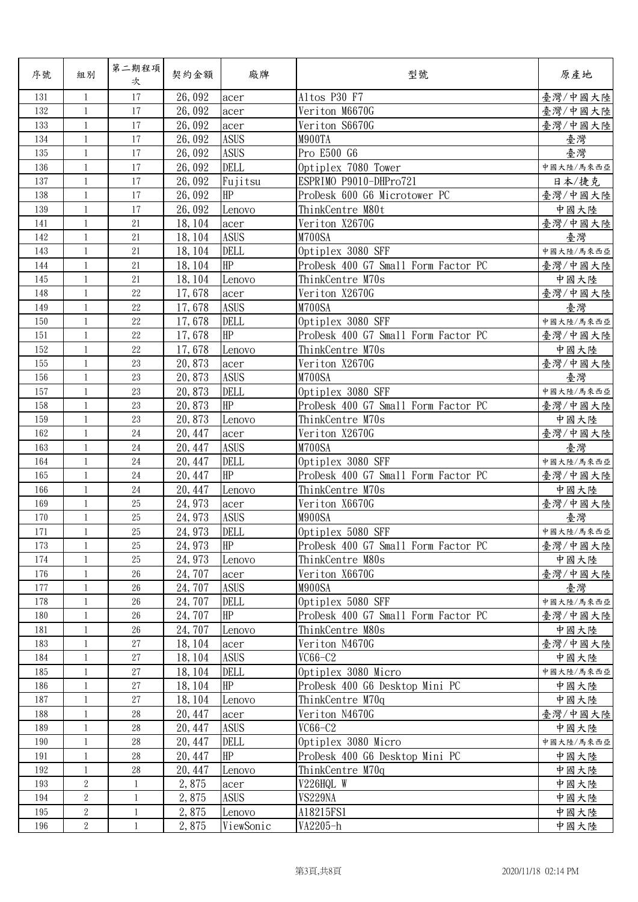| 序號  | 組別             | 第二期程項<br>次   | 契約金額    | 廠牌          | 型號                                  | 原產地       |
|-----|----------------|--------------|---------|-------------|-------------------------------------|-----------|
| 131 | 1              | 17           | 26,092  | acer        | Altos P30 F7                        | 臺灣/中國大陸   |
| 132 | $\mathbf{1}$   | 17           | 26,092  | acer        | Veriton M6670G                      | 臺灣/中國大陸   |
| 133 | $\mathbf{1}$   | 17           | 26,092  | acer        | Veriton S6670G                      | 臺灣/中國大陸   |
| 134 | $\mathbf{1}$   | 17           | 26,092  | <b>ASUS</b> | M900TA                              | 臺灣        |
| 135 | $\mathbf{1}$   | 17           | 26,092  | <b>ASUS</b> | Pro E500 G6                         | 臺灣        |
| 136 | $\mathbf{1}$   | 17           | 26,092  | DELL        | Optiplex 7080 Tower                 | 中國大陸/馬來西亞 |
| 137 | 1              | 17           | 26,092  | Fujitsu     | ESPRIMO P9010-DHPro721              | 日本/捷克     |
| 138 | $\mathbf{1}$   | 17           | 26,092  | HP          | ProDesk 600 G6 Microtower PC        | 臺灣/中國大陸   |
| 139 | $\mathbf{1}$   | 17           | 26,092  | Lenovo      | ThinkCentre M80t                    | 中國大陸      |
| 141 | $\mathbf{1}$   | 21           | 18, 104 | acer        | Veriton X2670G                      | 臺灣/中國大陸   |
| 142 | $\mathbf{1}$   | 21           | 18, 104 | <b>ASUS</b> | M700SA                              | 臺灣        |
| 143 | $\mathbf{1}$   | 21           | 18, 104 | <b>DELL</b> | Optiplex 3080 SFF                   | 中國大陸/馬來西亞 |
| 144 | $\mathbf{1}$   | 21           | 18, 104 | HP          | ProDesk 400 G7 Small Form Factor PC | 臺灣/中國大陸   |
| 145 | $\mathbf{1}$   | 21           | 18, 104 | Lenovo      | ThinkCentre M70s                    | 中國大陸      |
| 148 | $\mathbf{1}$   | $22\,$       | 17,678  | acer        | Veriton X2670G                      | 臺灣/中國大陸   |
| 149 | $\mathbf{1}$   | 22           | 17,678  | <b>ASUS</b> | M700SA                              | 臺灣        |
| 150 | $\mathbf{1}$   | $22\,$       | 17,678  | DELL        | Optiplex 3080 SFF                   | 中國大陸/馬來西亞 |
| 151 | $\mathbf{1}$   | 22           | 17,678  | HP          | ProDesk 400 G7 Small Form Factor PC | 臺灣/中國大陸   |
| 152 | $\mathbf{1}$   | 22           | 17,678  | Lenovo      | ThinkCentre M70s                    | 中國大陸      |
| 155 | $\mathbf{1}$   | 23           | 20,873  | acer        | Veriton X2670G                      | 臺灣/中國大陸   |
| 156 | $\mathbf{1}$   | 23           | 20,873  | <b>ASUS</b> | M700SA                              | 臺灣        |
| 157 | $\mathbf{1}$   | 23           | 20,873  | DELL        | Optiplex 3080 SFF                   | 中國大陸/馬來西亞 |
| 158 | $\mathbf{1}$   | 23           | 20,873  | HP          | ProDesk 400 G7 Small Form Factor PC | 臺灣/中國大陸   |
| 159 | $\mathbf{1}$   | 23           | 20,873  | Lenovo      | ThinkCentre M70s                    | 中國大陸      |
| 162 | $\mathbf{1}$   | 24           | 20, 447 | acer        | Veriton X2670G                      | 臺灣/中國大陸   |
| 163 | $\mathbf{1}$   | 24           | 20, 447 | <b>ASUS</b> | M700SA                              | 臺灣        |
| 164 | $\mathbf{1}$   | $24\,$       | 20, 447 | <b>DELL</b> | Optiplex 3080 SFF                   | 中國大陸/馬來西亞 |
| 165 | $\mathbf{1}$   | 24           | 20, 447 | HP          | ProDesk 400 G7 Small Form Factor PC | 臺灣/中國大陸   |
| 166 | $\mathbf{1}$   | $24\,$       | 20, 447 | Lenovo      | ThinkCentre M70s                    | 中國大陸      |
| 169 | $\mathbf{1}$   | 25           | 24, 973 | acer        | Veriton X6670G                      | 臺灣/中國大陸   |
| 170 | $\mathbf{1}$   | 25           | 24, 973 | <b>ASUS</b> | M900SA                              | 臺灣        |
| 171 | $\mathbf{1}$   | 25           | 24, 973 | <b>DELL</b> | Optiplex 5080 SFF                   | 中國大陸/馬來西亞 |
| 173 | 1              | 25           | 24, 973 | HP          | ProDesk 400 G7 Small Form Factor PC | 臺灣/中國大陸   |
| 174 | 1              | 25           | 24, 973 | Lenovo      | ThinkCentre M80s                    | 中國大陸      |
| 176 | $\mathbf{1}$   | $26\,$       | 24,707  | acer        | Veriton X6670G                      | 臺灣/中國大陸   |
| 177 | 1              | 26           | 24,707  | <b>ASUS</b> | M900SA                              | 臺灣        |
| 178 | $\mathbf{1}$   | 26           | 24,707  | <b>DELL</b> | Optiplex 5080 SFF                   | 中國大陸/馬來西亞 |
| 180 | $\mathbf{1}$   | 26           | 24,707  | HP          | ProDesk 400 G7 Small Form Factor PC | 臺灣/中國大陸   |
| 181 | 1              | 26           | 24, 707 | Lenovo      | ThinkCentre M80s                    | 中國大陸      |
| 183 | $\mathbf{1}$   | 27           | 18, 104 | acer        | Veriton N4670G                      | 臺灣/中國大陸   |
| 184 | $\mathbf{1}$   | 27           | 18, 104 | <b>ASUS</b> | $VC66-C2$                           | 中國大陸      |
| 185 | $\mathbf{1}$   | 27           | 18, 104 | <b>DELL</b> | Optiplex 3080 Micro                 | 中國大陸/馬來西亞 |
| 186 | 1              | 27           | 18, 104 | HP          | ProDesk 400 G6 Desktop Mini PC      | 中國大陸      |
| 187 | -1             | $27\,$       | 18, 104 | Lenovo      | ThinkCentre M70q                    | 中國大陸      |
| 188 | 1              | $28\,$       | 20, 447 | acer        | Veriton N4670G                      | 臺灣/中國大陸   |
| 189 | $\mathbf{1}$   | $28\,$       | 20, 447 | <b>ASUS</b> | $VC66-C2$                           | 中國大陸      |
| 190 | $\mathbf{1}$   | 28           | 20, 447 | DELL        | Optiplex 3080 Micro                 | 中國大陸/馬來西亞 |
| 191 | $\mathbf{1}$   | $28\,$       | 20, 447 | HP          | ProDesk 400 G6 Desktop Mini PC      | 中國大陸      |
| 192 | 1              | $28\,$       | 20, 447 | Lenovo      | ThinkCentre M70q                    | 中國大陸      |
| 193 | 2              | $\mathbf{1}$ | 2,875   | acer        | V226HQL W                           | 中國大陸      |
| 194 | $\overline{2}$ | $\mathbf{1}$ | 2,875   | <b>ASUS</b> | VS229NA                             | 中國大陸      |
| 195 | $\overline{2}$ | $\mathbf{1}$ | 2,875   | Lenovo      | A18215FS1                           | 中國大陸      |
| 196 | $\overline{2}$ | $\mathbf{1}$ | 2,875   | ViewSonic   | VA2205-h                            | 中國大陸      |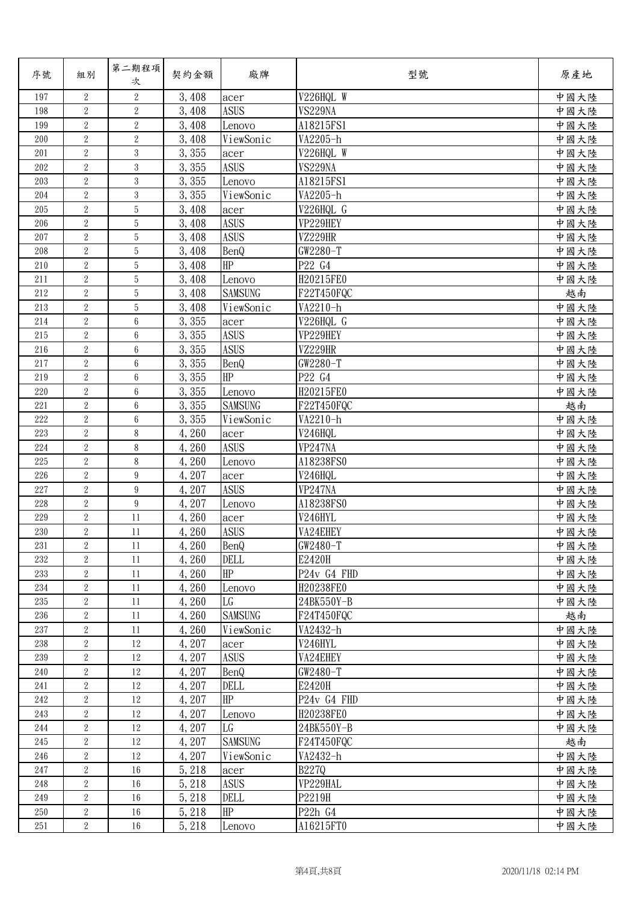| 序號      | 組別               | 第二期程項<br>次      | 契約金額   | 廠牌             | 型號           | 原產地  |
|---------|------------------|-----------------|--------|----------------|--------------|------|
| 197     | 2                | $\sqrt{2}$      | 3,408  | acer           | V226HQL W    | 中國大陸 |
| 198     | $\overline{2}$   | $\overline{2}$  | 3,408  | <b>ASUS</b>    | VS229NA      | 中國大陸 |
| 199     | $\boldsymbol{2}$ | $\overline{2}$  | 3,408  | Lenovo         | A18215FS1    | 中國大陸 |
| 200     | $\sqrt{2}$       | $\overline{2}$  | 3,408  | ViewSonic      | VA2205-h     | 中國大陸 |
| 201     | $\overline{2}$   | 3               | 3,355  | acer           | V226HQL W    | 中國大陸 |
| 202     | $\sqrt{2}$       | 3               | 3,355  | <b>ASUS</b>    | VS229NA      | 中國大陸 |
| 203     | $\overline{2}$   | 3               | 3,355  | Lenovo         | A18215FS1    | 中國大陸 |
| 204     | $\overline{2}$   | $\overline{3}$  | 3,355  | ViewSonic      | VA2205-h     | 中國大陸 |
| 205     | $\overline{2}$   | 5               | 3,408  | acer           | V226HQL G    | 中國大陸 |
| 206     | $\overline{2}$   | 5               | 3,408  | <b>ASUS</b>    | VP229HEY     | 中國大陸 |
| 207     | $\sqrt{2}$       | 5               | 3,408  | <b>ASUS</b>    | VZ229HR      | 中國大陸 |
| 208     | $\boldsymbol{2}$ | 5               | 3,408  | BenQ           | $GW2280-T$   | 中國大陸 |
| 210     | $\sqrt{2}$       | 5               | 3,408  | HP             | P22 G4       | 中國大陸 |
| 211     | $\overline{2}$   | $\overline{5}$  | 3,408  | Lenovo         | H20215FE0    | 中國大陸 |
| 212     | $\overline{2}$   | 5               | 3,408  | <b>SAMSUNG</b> | F22T450FQC   | 越南   |
| 213     | $\overline{2}$   | 5               | 3,408  | ViewSonic      | VA2210-h     | 中國大陸 |
| 214     | $\sqrt{2}$       | 6               | 3,355  | acer           | V226HQL G    | 中國大陸 |
| 215     | $\overline{2}$   | 6               | 3,355  | <b>ASUS</b>    | VP229HEY     | 中國大陸 |
| 216     | $\boldsymbol{2}$ | $\,6\,$         | 3,355  | <b>ASUS</b>    | VZ229HR      | 中國大陸 |
| 217     | $\overline{2}$   | 6               | 3,355  | <b>BenQ</b>    | GW2280-T     | 中國大陸 |
| 219     | $\overline{2}$   | 6               | 3,355  | HP             | P22 G4       | 中國大陸 |
| 220     | $\sqrt{2}$       | $\,6\,$         | 3,355  | Lenovo         | H20215FE0    | 中國大陸 |
| 221     | $\sqrt{2}$       | 6               | 3,355  | <b>SAMSUNG</b> | F22T450FQC   | 越南   |
| 222     | $\boldsymbol{2}$ | 6               | 3,355  | ViewSonic      | VA2210-h     | 中國大陸 |
| 223     | $\overline{2}$   | 8               | 4,260  | acer           | V246HQL      | 中國大陸 |
| 224     | $\overline{2}$   | 8               | 4,260  | <b>ASUS</b>    | VP247NA      | 中國大陸 |
| 225     | $\overline{2}$   | 8               | 4,260  | Lenovo         | A18238FS0    | 中國大陸 |
| 226     | $\boldsymbol{2}$ | $9\phantom{.0}$ | 4,207  | acer           | V246HQL      | 中國大陸 |
| 227     | $\boldsymbol{2}$ | 9               | 4,207  | <b>ASUS</b>    | VP247NA      | 中國大陸 |
| 228     | $\overline{2}$   | $9\phantom{.0}$ | 4,207  | Lenovo         | A18238FS0    | 中國大陸 |
| 229     | $\overline{2}$   | 11              | 4,260  | acer           | V246HYL      | 中國大陸 |
| 230     | $\overline{2}$   | 11              | 4,260  | <b>ASUS</b>    | VA24EHEY     | 中國大陸 |
| 231     | $\boldsymbol{2}$ | 11              | 4,260  | <b>BenQ</b>    | GW2480-T     | 中國大陸 |
| 232     | 2                | 11              | 4,260  | DELL           | E2420H       | 中國大陸 |
| 233     | $\overline{2}$   | 11              | 4,260  | HP             | P24v G4 FHD  | 中國大陸 |
| 234     | $\overline{2}$   | 11              | 4,260  | Lenovo         | H20238FE0    | 中國大陸 |
| 235     | $\boldsymbol{2}$ | 11              | 4,260  | LG             | 24BK550Y-B   | 中國大陸 |
| 236     | $\boldsymbol{2}$ | 11              | 4,260  | <b>SAMSUNG</b> | F24T450FQC   | 越南   |
| 237     | $\,2$            | 11              | 4,260  | ViewSonic      | VA2432-h     | 中國大陸 |
| 238     | $\overline{2}$   | 12              | 4, 207 | acer           | V246HYL      | 中國大陸 |
| 239     | $\boldsymbol{2}$ | 12              | 4,207  | <b>ASUS</b>    | VA24EHEY     | 中國大陸 |
| 240     | $\overline{2}$   | 12              | 4,207  | BenQ           | $GW2480-T$   | 中國大陸 |
| 241     | $\boldsymbol{2}$ | 12              | 4,207  | <b>DELL</b>    | E2420H       | 中國大陸 |
| 242     | $\,2$            | 12              | 4,207  | HP             | P24v G4 FHD  | 中國大陸 |
| 243     | $\boldsymbol{2}$ | 12              | 4,207  | Lenovo         | H20238FE0    | 中國大陸 |
| 244     | $\boldsymbol{2}$ | 12              | 4, 207 | LG             | 24BK550Y-B   | 中國大陸 |
| 245     | $\overline{2}$   | 12              | 4,207  | <b>SAMSUNG</b> | F24T450FQC   | 越南   |
| 246     | $\boldsymbol{2}$ | 12              | 4,207  | ViewSonic      | VA2432-h     | 中國大陸 |
| 247     | $\boldsymbol{2}$ | 16              | 5, 218 | acer           | <b>B227Q</b> | 中國大陸 |
| 248     | $\boldsymbol{2}$ | 16              | 5, 218 | <b>ASUS</b>    | VP229HAL     | 中國大陸 |
| 249     | $\boldsymbol{2}$ | 16              | 5, 218 | DELL           | P2219H       | 中國大陸 |
| 250     | $\boldsymbol{2}$ | $16\,$          | 5, 218 | HP             | P22h G4      | 中國大陸 |
| $251\,$ | $\overline{2}$   | 16              | 5, 218 | Lenovo         | A16215FT0    | 中國大陸 |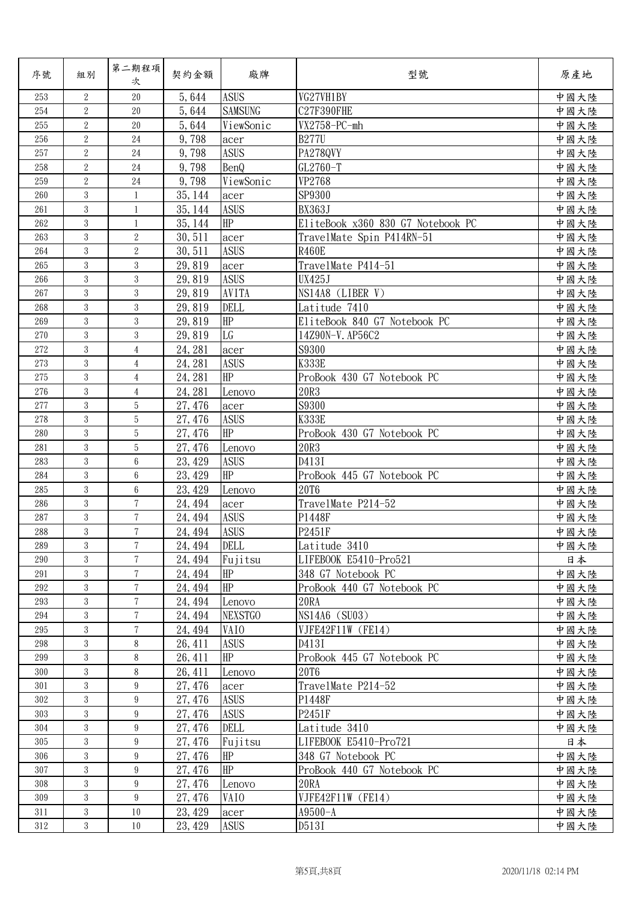| 序號      | 組別               | 第二期程項<br>次      | 契約金額    | 廠牌             | 型號                                | 原產地  |
|---------|------------------|-----------------|---------|----------------|-----------------------------------|------|
| 253     | $\overline{2}$   | 20              | 5,644   | <b>ASUS</b>    | VG27VH1BY                         | 中國大陸 |
| 254     | $\overline{2}$   | 20              | 5,644   | <b>SAMSUNG</b> | C27F390FHE                        | 中國大陸 |
| 255     | $\overline{2}$   | $20\,$          | 5,644   | ViewSonic      | VX2758-PC-mh                      | 中國大陸 |
| 256     | $\sqrt{2}$       | 24              | 9,798   | acer           | <b>B277U</b>                      | 中國大陸 |
| 257     | $\overline{2}$   | 24              | 9,798   | <b>ASUS</b>    | PA278QVY                          | 中國大陸 |
| 258     | $\sqrt{2}$       | 24              | 9,798   | BenQ           | GL2760-T                          | 中國大陸 |
| 259     | $\overline{2}$   | $24\,$          | 9,798   | ViewSonic      | VP2768                            | 中國大陸 |
| 260     | 3                | $\mathbf{1}$    | 35, 144 | acer           | SP9300                            | 中國大陸 |
| 261     | 3                | 1               | 35, 144 | <b>ASUS</b>    | <b>BX363J</b>                     | 中國大陸 |
| 262     | 3                | $\mathbf{1}$    | 35, 144 | HP             | EliteBook x360 830 G7 Notebook PC | 中國大陸 |
| 263     | $\mathbf{3}$     | $\sqrt{2}$      | 30,511  | acer           | TravelMate Spin P414RN-51         | 中國大陸 |
| 264     | 3                | $\sqrt{2}$      | 30, 511 | <b>ASUS</b>    | <b>R460E</b>                      | 中國大陸 |
| 265     | 3                | 3               | 29,819  | acer           | TravelMate P414-51                | 中國大陸 |
| 266     | 3                | 3               | 29,819  | <b>ASUS</b>    | <b>UX425J</b>                     | 中國大陸 |
| 267     | 3                | 3               | 29,819  | AVITA          | NS14A8 (LIBER V)                  | 中國大陸 |
| 268     | 3                | 3               | 29,819  | <b>DELL</b>    | Latitude 7410                     | 中國大陸 |
| 269     | 3                | 3               | 29,819  | HP             | EliteBook 840 G7 Notebook PC      | 中國大陸 |
| 270     | 3                | 3               | 29,819  | LG             | 14Z90N-V. AP56C2                  | 中國大陸 |
| 272     | 3                | $\overline{4}$  | 24, 281 | acer           | S9300                             | 中國大陸 |
| 273     | 3                | $\overline{4}$  | 24, 281 | <b>ASUS</b>    | <b>K333E</b>                      | 中國大陸 |
| 275     | 3                | $\overline{4}$  | 24, 281 | HP             | ProBook 430 G7 Notebook PC        | 中國大陸 |
| 276     | $\mathbf{3}$     | $\overline{4}$  | 24, 281 | Lenovo         | 20R3                              | 中國大陸 |
| 277     | 3                | 5               | 27, 476 | acer           | S9300                             | 中國大陸 |
| 278     | 3                | 5               | 27, 476 | <b>ASUS</b>    | <b>K333E</b>                      | 中國大陸 |
| 280     | 3                | 5               | 27, 476 | HP             | ProBook 430 G7 Notebook PC        | 中國大陸 |
| 281     | 3                | 5               | 27, 476 | Lenovo         | 20R3                              | 中國大陸 |
| 283     | 3                | $6\phantom{.0}$ | 23, 429 | <b>ASUS</b>    | D413I                             | 中國大陸 |
| 284     | 3                | 6               | 23, 429 | HP             | ProBook 445 G7 Notebook PC        | 中國大陸 |
| 285     | 3                | $6\phantom{.}6$ | 23, 429 | Lenovo         | <b>20T6</b>                       | 中國大陸 |
| 286     | 3                | $\overline{7}$  | 24, 494 | acer           | TravelMate P214-52                | 中國大陸 |
| 287     | 3                | $\overline{7}$  | 24, 494 | <b>ASUS</b>    | P1448F                            | 中國大陸 |
| 288     | 3                | $\tau$          | 24, 494 | <b>ASUS</b>    | P2451F                            | 中國大陸 |
| 289     | 3                | 7               | 24, 494 | <b>DELL</b>    | Latitude 3410                     | 中國大陸 |
| 290     | 3                | 7               | 24, 494 | Fujitsu        | LIFEBOOK E5410-Pro521             | 日本   |
| 291     | 3                | $\tau$          | 24, 494 | <b>HP</b>      | 348 G7 Notebook PC                | 中國大陸 |
| 292     | 3                | $7\phantom{.}$  | 24, 494 | HP             | ProBook 440 G7 Notebook PC        | 中國大陸 |
| 293     | 3                | $\overline{7}$  | 24, 494 | Lenovo         | 20RA                              | 中國大陸 |
| 294     | 3                | 7               | 24, 494 | <b>NEXSTGO</b> | NS14A6 (SU03)                     | 中國大陸 |
| $295\,$ | 3                | $\tau$          | 24, 494 | VAIO           | VJFE42F11W (FE14)                 | 中國大陸 |
| 298     | 3                | 8               | 26, 411 | <b>ASUS</b>    | D413I                             | 中國大陸 |
| 299     | 3                | 8               | 26, 411 | HP             | ProBook 445 G7 Notebook PC        | 中國大陸 |
| 300     | 3                | 8               | 26, 411 | Lenovo         | <b>20T6</b>                       | 中國大陸 |
| 301     | 3                | 9               | 27, 476 | acer           | TravelMate P214-52                | 中國大陸 |
| 302     | $\boldsymbol{3}$ | 9               | 27, 476 | <b>ASUS</b>    | P1448F                            | 中國大陸 |
| 303     | 3                | 9               | 27, 476 | <b>ASUS</b>    | P2451F                            | 中國大陸 |
| 304     | 3                | 9               | 27, 476 | <b>DELL</b>    | Latitude 3410                     | 中國大陸 |
| 305     | 3                | $9\phantom{.0}$ | 27, 476 | Fujitsu        | LIFEBOOK E5410-Pro721             | 日本   |
| 306     | 3                | 9               | 27, 476 | HP             | 348 G7 Notebook PC                | 中國大陸 |
| 307     | 3                | 9               | 27, 476 | HP             | ProBook 440 G7 Notebook PC        | 中國大陸 |
| 308     | 3                | 9               | 27, 476 | Lenovo         | 20RA                              | 中國大陸 |
| 309     | 3                | 9               | 27, 476 | VAIO           | VJFE42F11W (FE14)                 |      |
| 311     | 3                | 10              |         |                | $A9500 - A$                       | 中國大陸 |
|         |                  |                 | 23, 429 | acer           |                                   | 中國大陸 |
| $312\,$ | 3                | $10\,$          | 23, 429 | <b>ASUS</b>    | D513I                             | 中國大陸 |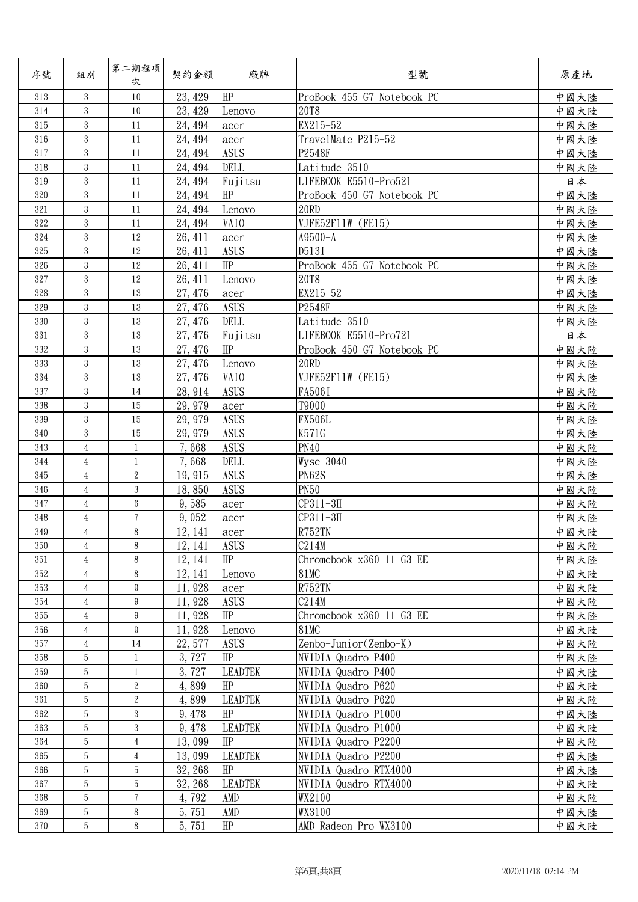| 序號  | 組別               | 第二期程項<br>次      | 契約金額    | 廠牌             | 型號                                    | 原產地  |
|-----|------------------|-----------------|---------|----------------|---------------------------------------|------|
| 313 | 3                | 10              | 23, 429 | HP             | ProBook 455 G7 Notebook PC            | 中國大陸 |
| 314 | 3                | 10              | 23, 429 | Lenovo         | <b>20T8</b>                           | 中國大陸 |
| 315 | $\boldsymbol{3}$ | 11              | 24, 494 | acer           | EX215-52                              | 中國大陸 |
| 316 | 3                | 11              | 24, 494 | acer           | TravelMate P215-52                    | 中國大陸 |
| 317 | 3                | 11              | 24, 494 | <b>ASUS</b>    | P2548F                                | 中國大陸 |
| 318 | $\boldsymbol{3}$ | 11              | 24, 494 | <b>DELL</b>    | Latitude 3510                         | 中國大陸 |
| 319 | 3                | 11              | 24, 494 | Fujitsu        | LIFEBOOK E5510-Pro521                 | 日本   |
| 320 | 3                | 11              | 24, 494 | HP             | ProBook 450 G7 Notebook PC            | 中國大陸 |
| 321 | 3                | 11              | 24, 494 | Lenovo         | <b>20RD</b>                           | 中國大陸 |
| 322 | $\boldsymbol{3}$ | 11              | 24, 494 | VAIO           | VJFE52F11W (FE15)                     | 中國大陸 |
| 324 | 3                | 12              | 26, 411 | acer           | A9500-A                               | 中國大陸 |
| 325 | 3                | 12              | 26, 411 | <b>ASUS</b>    | D513I                                 | 中國大陸 |
| 326 | 3                | 12              | 26, 411 | HP             | ProBook 455 G7 Notebook PC            | 中國大陸 |
| 327 | 3                | 12              | 26, 411 | Lenovo         | 20T8                                  | 中國大陸 |
| 328 | 3                | 13              | 27, 476 | acer           | EX215-52                              | 中國大陸 |
| 329 | $\boldsymbol{3}$ | 13              | 27, 476 | <b>ASUS</b>    | P2548F                                | 中國大陸 |
| 330 | $\boldsymbol{3}$ | 13              | 27, 476 | DELL           | Latitude 3510                         | 中國大陸 |
| 331 | 3                | 13              | 27, 476 | Fujitsu        | LIFEBOOK E5510-Pro721                 | 日本   |
| 332 | 3                | 13              | 27, 476 | HP             | ProBook 450 G7 Notebook PC            | 中國大陸 |
| 333 | 3                | 13              | 27, 476 | Lenovo         | <b>20RD</b>                           | 中國大陸 |
| 334 | 3                | 13              | 27, 476 | VAIO           | VJFE52F11W (FE15)                     | 中國大陸 |
| 337 | 3                | 14              | 28, 914 | <b>ASUS</b>    | FA506I                                | 中國大陸 |
| 338 | 3                | 15              | 29, 979 | acer           | T9000                                 | 中國大陸 |
| 339 | 3                | 15              | 29, 979 | <b>ASUS</b>    | <b>FX506L</b>                         | 中國大陸 |
| 340 | 3                | 15              | 29, 979 | <b>ASUS</b>    | K571G                                 | 中國大陸 |
| 343 | $\overline{4}$   | $\mathbf{1}$    | 7,668   | <b>ASUS</b>    | <b>PN40</b>                           | 中國大陸 |
| 344 | $\overline{4}$   | $\mathbf{1}$    | 7,668   | DELL           | Wyse 3040                             | 中國大陸 |
| 345 | $\overline{4}$   | $\sqrt{2}$      | 19,915  | <b>ASUS</b>    | PN62S                                 | 中國大陸 |
| 346 | $\overline{4}$   | 3               | 18,850  | <b>ASUS</b>    | <b>PN50</b>                           | 中國大陸 |
| 347 | $\overline{4}$   | $6\phantom{.}6$ | 9,585   | acer           | CP311-3H                              | 中國大陸 |
| 348 | 4                | $\overline{7}$  | 9,052   | acer           | CP311-3H                              | 中國大陸 |
| 349 | $\overline{4}$   | 8               | 12, 141 | acer           | R752TN                                | 中國大陸 |
| 350 | 4                | 8               | 12, 141 | <b>ASUS</b>    | C214M                                 | 中國大陸 |
| 351 | 4                | 8               | 12, 141 | HP             | Chromebook x360 11 G3 EE              | 中國大陸 |
| 352 | 4                | 8               | 12, 141 | Lenovo         | <b>81MC</b>                           | 中國大陸 |
| 353 | 4                | 9               | 11,928  | acer           | R752TN                                | 中國大陸 |
| 354 | 4                | 9               | 11,928  | <b>ASUS</b>    | C214M                                 | 中國大陸 |
| 355 | $\overline{4}$   | 9               | 11,928  | HP             | Chromebook x360 11 G3 EE              | 中國大陸 |
| 356 | $\overline{4}$   | $9\phantom{.0}$ | 11,928  | Lenovo         | <b>81MC</b>                           | 中國大陸 |
| 357 | 4                | 14              | 22, 577 | <b>ASUS</b>    | $\text{Zenbo-Junior}(\text{Zenbo-K})$ | 中國大陸 |
| 358 | 5                | $\mathbf{1}$    | 3,727   | <b>HP</b>      | NVIDIA Quadro P400                    | 中國大陸 |
| 359 | 5                | $\mathbf{1}$    | 3,727   | <b>LEADTEK</b> | NVIDIA Quadro P400                    | 中國大陸 |
| 360 | $\overline{5}$   | $\overline{2}$  | 4,899   | HP             | NVIDIA Quadro P620                    | 中國大陸 |
| 361 | 5                | $\overline{2}$  | 4,899   | <b>LEADTEK</b> | NVIDIA Quadro P620                    | 中國大陸 |
| 362 | 5                | 3               | 9, 478  | HP             | NVIDIA Quadro P1000                   | 中國大陸 |
| 363 | 5                | 3               | 9,478   | <b>LEADTEK</b> | NVIDIA Quadro P1000                   | 中國大陸 |
| 364 | 5                | $\overline{4}$  | 13,099  | <b>HP</b>      | NVIDIA Quadro P2200                   | 中國大陸 |
| 365 | 5                | $\overline{4}$  | 13,099  | <b>LEADTEK</b> | NVIDIA Quadro P2200                   | 中國大陸 |
| 366 | 5                | 5               | 32, 268 | <b>HP</b>      | NVIDIA Quadro RTX4000                 | 中國大陸 |
| 367 | $\overline{5}$   | $\overline{5}$  | 32, 268 | <b>LEADTEK</b> | NVIDIA Quadro RTX4000                 | 中國大陸 |
| 368 | 5                | 7               | 4,792   | <b>AMD</b>     | WX2100                                | 中國大陸 |
| 369 | $\,$ 5 $\,$      | 8               | 5,751   | AMD            | WX3100                                | 中國大陸 |
| 370 | 5                | 8               | 5,751   | $\rm HP$       | AMD Radeon Pro WX3100                 | 中國大陸 |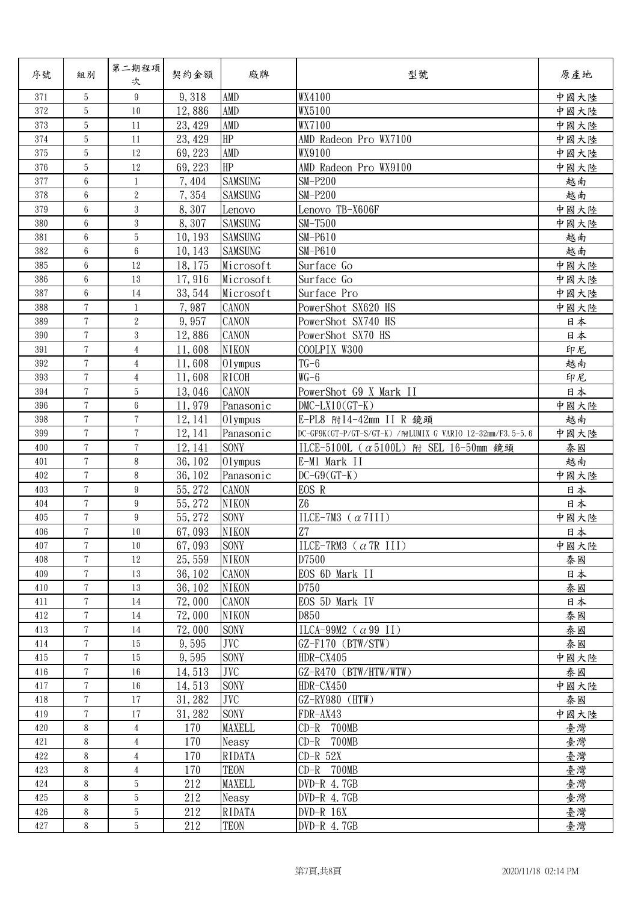| 序號  | 組別             | 第二期程項<br>次      | 契約金額    | 廠牌             | 型號                                                       | 原產地  |
|-----|----------------|-----------------|---------|----------------|----------------------------------------------------------|------|
| 371 | 5              | 9               | 9, 318  | AMD            | WX4100                                                   | 中國大陸 |
| 372 | 5              | 10              | 12,886  | AMD            | WX5100                                                   | 中國大陸 |
| 373 | 5              | 11              | 23, 429 | AMD            | WX7100                                                   | 中國大陸 |
| 374 | 5              | 11              | 23, 429 | HP             | AMD Radeon Pro WX7100                                    | 中國大陸 |
| 375 | $\overline{5}$ | 12              | 69, 223 | AMD            | WX9100                                                   | 中國大陸 |
| 376 | $\overline{5}$ | 12              | 69, 223 | $\rm HP$       | AMD Radeon Pro WX9100                                    | 中國大陸 |
| 377 | 6              | $\mathbf{1}$    | 7,404   | <b>SAMSUNG</b> | $SM-P200$                                                | 越南   |
| 378 | 6              | $\overline{2}$  | 7,354   | <b>SAMSUNG</b> | $SM-P200$                                                | 越南   |
| 379 | 6              | 3               | 8,307   | Lenovo         | Lenovo TB-X606F                                          | 中國大陸 |
| 380 | 6              | 3               | 8,307   | <b>SAMSUNG</b> | $SM-T500$                                                | 中國大陸 |
| 381 | 6              | 5               | 10, 193 | <b>SAMSUNG</b> | $SM-P610$                                                | 越南   |
| 382 | 6              | $6\phantom{.0}$ | 10, 143 | <b>SAMSUNG</b> | $SM-P610$                                                | 越南   |
| 385 | 6              | 12              | 18, 175 | Microsoft      | Surface Go                                               | 中國大陸 |
| 386 | 6              | 13              | 17,916  | Microsoft      | Surface Go                                               | 中國大陸 |
| 387 | 6              | 14              | 33, 544 | Microsoft      | Surface Pro                                              | 中國大陸 |
| 388 | $\overline{7}$ | 1               | 7,987   | CANON          | PowerShot SX620 HS                                       | 中國大陸 |
| 389 | $\overline{7}$ | $\overline{2}$  | 9,957   | CANON          | PowerShot SX740 HS                                       | 日本   |
| 390 | $\overline{7}$ | 3               | 12,886  | <b>CANON</b>   | PowerShot SX70 HS                                        | 日本   |
| 391 | 7              | $\overline{4}$  | 11,608  | <b>NIKON</b>   | COOLPIX W300                                             | 印尼   |
| 392 | $\overline{7}$ | $\overline{4}$  | 11,608  | 01ympus        | $TG-6$                                                   | 越南   |
| 393 | $\overline{7}$ | $\overline{4}$  | 11,608  | <b>RICOH</b>   | $WG-6$                                                   | 印尼   |
| 394 | $\overline{7}$ | 5               | 13,046  | <b>CANON</b>   | PowerShot G9 X Mark II                                   | 日本   |
| 396 | $\overline{7}$ | 6               | 11,979  | Panasonic      | $DMC-LX10(GT-K)$                                         | 中國大陸 |
| 398 | $\overline{7}$ | $\overline{7}$  | 12, 141 | 01ympus        | E-PL8 附14-42mm II R 鏡頭                                   | 越南   |
| 399 | $\overline{7}$ | $\tau$          | 12, 141 | Panasonic      | DC-GF9K(GT-P/GT-S/GT-K) /附LUMIX G VARIO 12-32mm/F3.5-5.6 | 中國大陸 |
| 400 | $\overline{7}$ | $\overline{7}$  | 12, 141 | <b>SONY</b>    | ILCE-5100L ( $\alpha$ 5100L) 附 SEL 16-50mm 鏡頭            | 泰國   |
| 401 | $\overline{7}$ | 8               | 36, 102 | $01$ ympus     | E-M1 Mark II                                             | 越南   |
| 402 | $\overline{7}$ | 8               | 36, 102 | Panasonic      | $DC-G9(GT-K)$                                            | 中國大陸 |
| 403 | 7              | 9               | 55, 272 | <b>CANON</b>   | EOS R                                                    | 日本   |
| 404 | $\overline{7}$ | $9\phantom{.0}$ | 55, 272 | <b>NIKON</b>   | Z <sub>6</sub>                                           | 日本   |
| 405 | $\sqrt{ }$     | 9               | 55, 272 | SONY           | ILCE-7M3 $(\alpha 7III)$                                 | 中國大陸 |
| 406 | $\overline{7}$ | 10              | 67,093  | <b>NIKON</b>   | Z7                                                       | 日本   |
| 407 | 7              | 10              | 67,093  | <b>SONY</b>    | ILCE-7RM3 $(\alpha$ 7R III)                              | 中國大陸 |
| 408 | 7              | 12              | 25, 559 | <b>NIKON</b>   | D7500                                                    | 泰國   |
| 409 | $\overline{7}$ | 13              | 36, 102 | <b>CANON</b>   | EOS 6D Mark II                                           | 日本   |
| 410 | 7              | 13              | 36, 102 | <b>NIKON</b>   | D750                                                     | 泰國   |
| 411 | $\overline{7}$ | 14              | 72,000  | <b>CANON</b>   | EOS 5D Mark IV                                           | 日本   |
| 412 | 7              | 14              | 72,000  | <b>NIKON</b>   | D850                                                     | 泰國   |
| 413 | 7              | 14              | 72,000  | <b>SONY</b>    | ILCA-99M2 ( $\alpha$ 99 II)                              | 泰國   |
| 414 | 7              | 15              | 9,595   | <b>JVC</b>     | GZ-F170 (BTW/STW)                                        | 泰國   |
| 415 | $\overline{7}$ | 15              | 9,595   | <b>SONY</b>    | HDR-CX405                                                | 中國大陸 |
| 416 | $\overline{7}$ | 16              | 14,513  | <b>JVC</b>     | GZ-R470 (BTW/HTW/WTW)                                    | 泰國   |
| 417 | $\overline{7}$ | $16\,$          | 14,513  | <b>SONY</b>    | HDR-CX450                                                | 中國大陸 |
| 418 | 7              | 17              | 31, 282 | JVC            | GZ-RY980 (HTW)                                           | 泰國   |
| 419 | 7              | 17              | 31, 282 | <b>SONY</b>    | FDR-AX43                                                 | 中國大陸 |
| 420 | 8              | $\overline{4}$  | 170     | <b>MAXELL</b>  | CD-R 700MB                                               | 臺灣   |
| 421 | 8              | 4               | 170     | Neasy          | $CD-R$ 700MB                                             | 臺灣   |
| 422 | 8              | $\overline{4}$  | 170     | RIDATA         | $CD-R$ 52X                                               | 臺灣   |
| 423 | 8              | $\overline{4}$  | 170     | <b>TEON</b>    | CD-R 700MB                                               | 臺灣   |
| 424 | 8              | 5               | 212     | MAXELL         | $DVD-R$ 4.7GB                                            | 臺灣   |
| 425 | 8              | 5               | 212     | Neasy          | $DVD-R$ 4.7GB                                            | 臺灣   |
| 426 | 8              | $\overline{5}$  | 212     | RIDATA         | $DVD-R$ 16X                                              | 臺灣   |
| 427 | 8              | 5               | 212     | <b>TEON</b>    | $DVD-R$ 4.7GB                                            | 臺灣   |